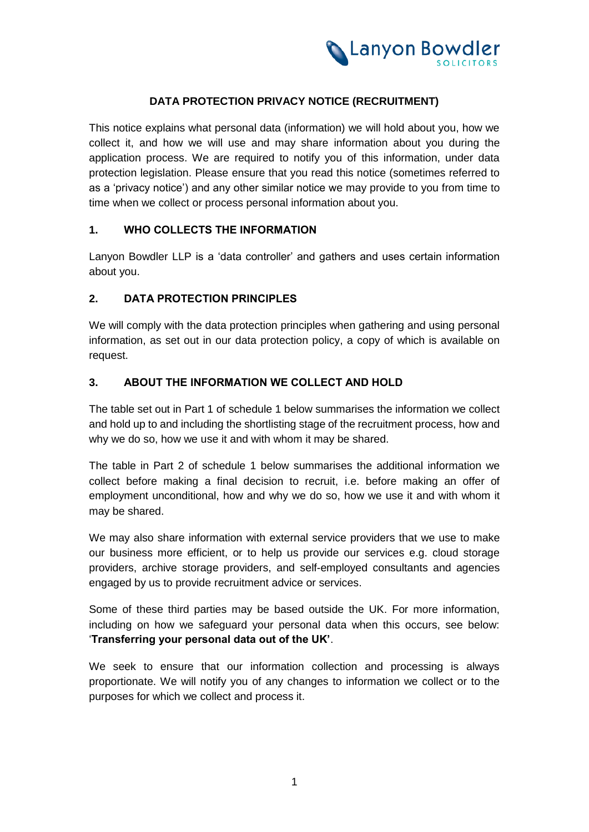

## **DATA PROTECTION PRIVACY NOTICE (RECRUITMENT)**

This notice explains what personal data (information) we will hold about you, how we collect it, and how we will use and may share information about you during the application process. We are required to notify you of this information, under data protection legislation. Please ensure that you read this notice (sometimes referred to as a 'privacy notice') and any other similar notice we may provide to you from time to time when we collect or process personal information about you.

#### **1. WHO COLLECTS THE INFORMATION**

Lanyon Bowdler LLP is a 'data controller' and gathers and uses certain information about you.

## **2. DATA PROTECTION PRINCIPLES**

We will comply with the data protection principles when gathering and using personal information, as set out in our data protection policy, a copy of which is available on request.

### **3. ABOUT THE INFORMATION WE COLLECT AND HOLD**

The table set out in [Part 1 o](#page-4-0)f [schedule 1](#page-4-1) below summarises the information we collect and hold up to and including the shortlisting stage of the recruitment process, how and why we do so, how we use it and with whom it may be shared.

The table in [Part 2 o](#page-6-0)f [schedule 1](#page-4-1) below summarises the additional information we collect before making a final decision to recruit, i.e. before making an offer of employment unconditional, how and why we do so, how we use it and with whom it may be shared.

We may also share information with external service providers that we use to make our business more efficient, or to help us provide our services e.g. cloud storage providers, archive storage providers, and self-employed consultants and agencies engaged by us to provide recruitment advice or services.

Some of these third parties may be based outside the UK. For more information, including on how we safeguard your personal data when this occurs, see below: '**Transferring your personal data out of the UK'**.

We seek to ensure that our information collection and processing is always proportionate. We will notify you of any changes to information we collect or to the purposes for which we collect and process it.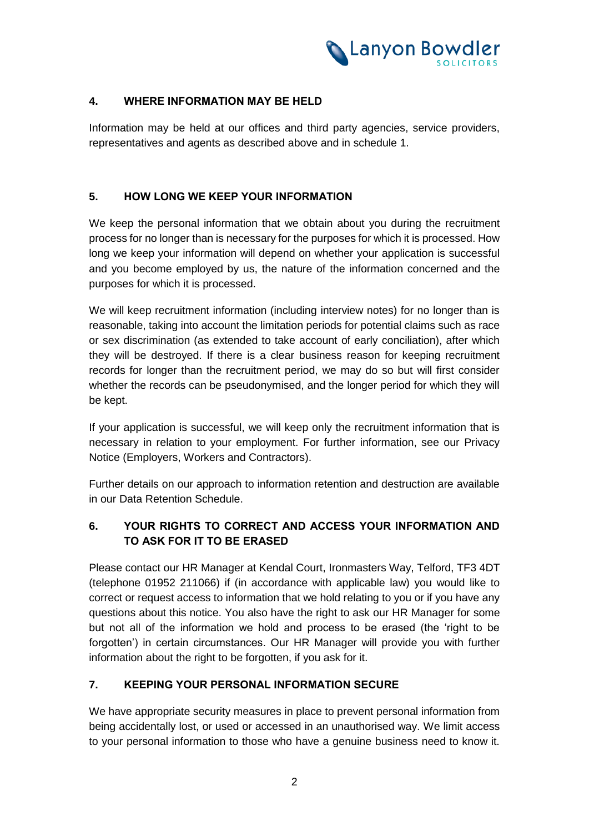

## **4. WHERE INFORMATION MAY BE HELD**

Information may be held at our offices and third party agencies, service providers, representatives and agents as described above and in schedule 1.

## **5. HOW LONG WE KEEP YOUR INFORMATION**

We keep the personal information that we obtain about you during the recruitment process for no longer than is necessary for the purposes for which it is processed. How long we keep your information will depend on whether your application is successful and you become employed by us, the nature of the information concerned and the purposes for which it is processed.

We will keep recruitment information (including interview notes) for no longer than is reasonable, taking into account the limitation periods for potential claims such as race or sex discrimination (as extended to take account of early conciliation), after which they will be destroyed. If there is a clear business reason for keeping recruitment records for longer than the recruitment period, we may do so but will first consider whether the records can be pseudonymised, and the longer period for which they will be kept.

If your application is successful, we will keep only the recruitment information that is necessary in relation to your employment. For further information, see our Privacy Notice (Employers, Workers and Contractors).

Further details on our approach to information retention and destruction are available in our Data Retention Schedule.

# **6. YOUR RIGHTS TO CORRECT AND ACCESS YOUR INFORMATION AND TO ASK FOR IT TO BE ERASED**

Please contact our HR Manager at Kendal Court, Ironmasters Way, Telford, TF3 4DT (telephone 01952 211066) if (in accordance with applicable law) you would like to correct or request access to information that we hold relating to you or if you have any questions about this notice. You also have the right to ask our HR Manager for some but not all of the information we hold and process to be erased (the 'right to be forgotten') in certain circumstances. Our HR Manager will provide you with further information about the right to be forgotten, if you ask for it.

## **7. KEEPING YOUR PERSONAL INFORMATION SECURE**

We have appropriate security measures in place to prevent personal information from being accidentally lost, or used or accessed in an unauthorised way. We limit access to your personal information to those who have a genuine business need to know it.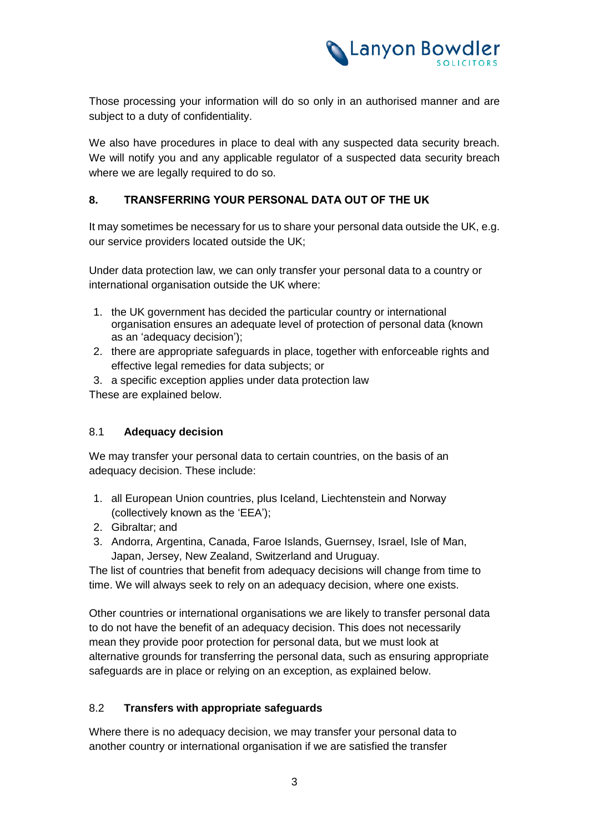

Those processing your information will do so only in an authorised manner and are subject to a duty of confidentiality.

We also have procedures in place to deal with any suspected data security breach. We will notify you and any applicable regulator of a suspected data security breach where we are legally required to do so.

## **8. TRANSFERRING YOUR PERSONAL DATA OUT OF THE UK**

It may sometimes be necessary for us to share your personal data outside the UK, e.g. our service providers located outside the UK;

Under data protection law, we can only transfer your personal data to a country or international organisation outside the UK where:

- 1. the UK government has decided the particular country or international organisation ensures an adequate level of protection of personal data (known as an 'adequacy decision');
- 2. there are appropriate safeguards in place, together with enforceable rights and effective legal remedies for data subjects; or
- 3. a specific exception applies under data protection law

These are explained below.

#### 8.1 **Adequacy decision**

We may transfer your personal data to certain countries, on the basis of an adequacy decision. These include:

- 1. all European Union countries, plus Iceland, Liechtenstein and Norway (collectively known as the 'EEA');
- 2. Gibraltar; and
- 3. Andorra, Argentina, Canada, Faroe Islands, Guernsey, Israel, Isle of Man, Japan, Jersey, New Zealand, Switzerland and Uruguay.

The list of countries that benefit from adequacy decisions will change from time to time. We will always seek to rely on an adequacy decision, where one exists.

Other countries or international organisations we are likely to transfer personal data to do not have the benefit of an adequacy decision. This does not necessarily mean they provide poor protection for personal data, but we must look at alternative grounds for transferring the personal data, such as ensuring appropriate safeguards are in place or relying on an exception, as explained below.

#### 8.2 **Transfers with appropriate safeguards**

Where there is no adequacy decision, we may transfer your personal data to another country or international organisation if we are satisfied the transfer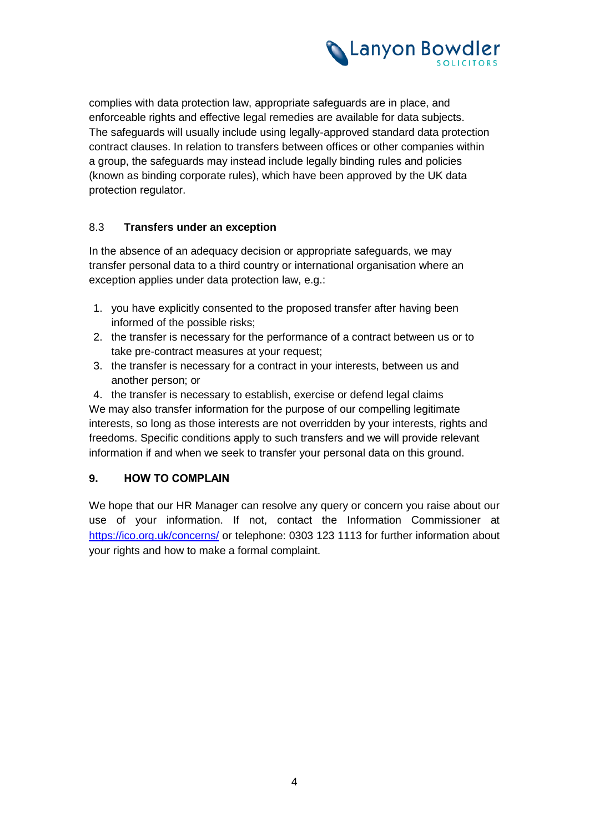

complies with data protection law, appropriate safeguards are in place, and enforceable rights and effective legal remedies are available for data subjects. The safeguards will usually include using legally-approved standard data protection contract clauses. In relation to transfers between offices or other companies within a group, the safeguards may instead include legally binding rules and policies (known as binding corporate rules), which have been approved by the UK data protection regulator.

## 8.3 **Transfers under an exception**

In the absence of an adequacy decision or appropriate safeguards, we may transfer personal data to a third country or international organisation where an exception applies under data protection law, e.g.:

- 1. you have explicitly consented to the proposed transfer after having been informed of the possible risks;
- 2. the transfer is necessary for the performance of a contract between us or to take pre-contract measures at your request;
- 3. the transfer is necessary for a contract in your interests, between us and another person; or
- 4. the transfer is necessary to establish, exercise or defend legal claims

We may also transfer information for the purpose of our compelling legitimate interests, so long as those interests are not overridden by your interests, rights and freedoms. Specific conditions apply to such transfers and we will provide relevant information if and when we seek to transfer your personal data on this ground.

#### **9. HOW TO COMPLAIN**

We hope that our HR Manager can resolve any query or concern you raise about our use of your information. If not, contact the Information Commissioner at https://ico.org.uk/concerns/ or telephone: 0303 123 1113 for further information about your rights and how to make a formal complaint.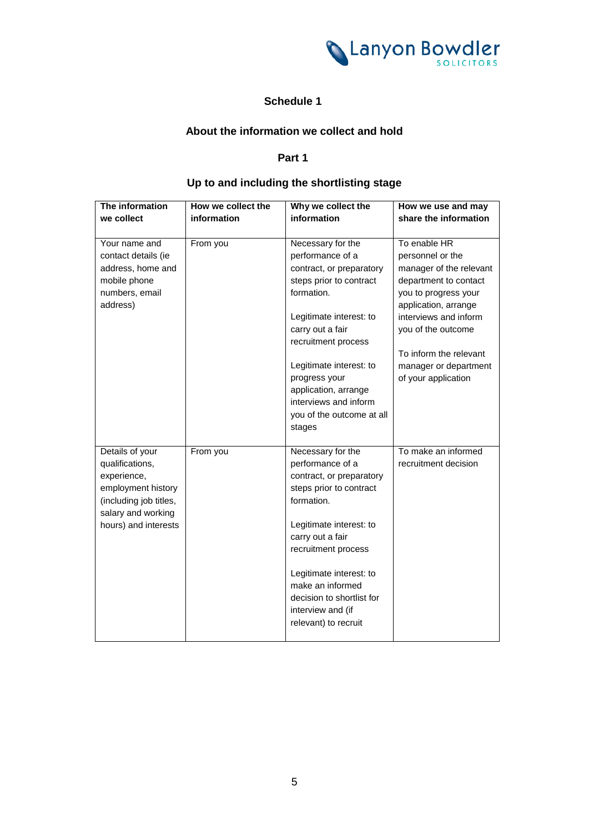<span id="page-4-1"></span>

## **Schedule 1**

#### **About the information we collect and hold**

## <span id="page-4-0"></span>**Part 1**

# **Up to and including the shortlisting stage**

| The information        | How we collect the | Why we collect the                            | How we use and may      |
|------------------------|--------------------|-----------------------------------------------|-------------------------|
| we collect             | information        | information                                   | share the information   |
|                        |                    |                                               |                         |
| Your name and          | From you           | Necessary for the                             | To enable HR            |
| contact details (ie    |                    | performance of a                              | personnel or the        |
| address, home and      |                    | contract, or preparatory                      | manager of the relevant |
| mobile phone           |                    | steps prior to contract                       | department to contact   |
| numbers, email         |                    | formation.                                    | you to progress your    |
| address)               |                    |                                               | application, arrange    |
|                        |                    | Legitimate interest: to                       | interviews and inform   |
|                        |                    | carry out a fair                              | you of the outcome      |
|                        |                    | recruitment process                           |                         |
|                        |                    |                                               | To inform the relevant  |
|                        |                    | Legitimate interest: to                       | manager or department   |
|                        |                    | progress your<br>application, arrange         | of your application     |
|                        |                    | interviews and inform                         |                         |
|                        |                    | you of the outcome at all                     |                         |
|                        |                    | stages                                        |                         |
|                        |                    |                                               |                         |
| Details of your        | From you           | Necessary for the                             | To make an informed     |
| qualifications,        |                    | performance of a                              | recruitment decision    |
| experience,            |                    | contract, or preparatory                      |                         |
| employment history     |                    | steps prior to contract                       |                         |
| (including job titles, |                    | formation.                                    |                         |
| salary and working     |                    |                                               |                         |
| hours) and interests   |                    | Legitimate interest: to                       |                         |
|                        |                    | carry out a fair                              |                         |
|                        |                    | recruitment process                           |                         |
|                        |                    |                                               |                         |
|                        |                    | Legitimate interest: to                       |                         |
|                        |                    | make an informed<br>decision to shortlist for |                         |
|                        |                    | interview and (if                             |                         |
|                        |                    | relevant) to recruit                          |                         |
|                        |                    |                                               |                         |
|                        |                    |                                               |                         |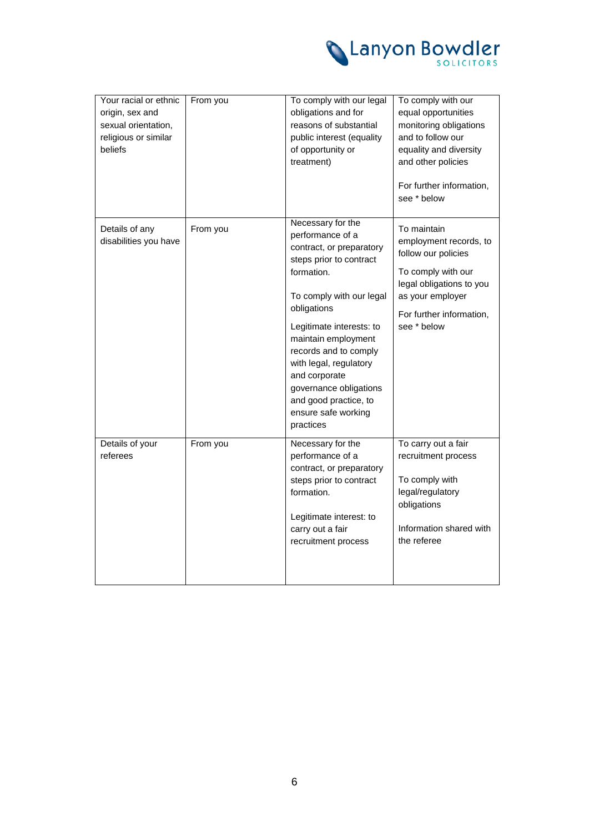

| Your racial or ethnic<br>origin, sex and<br>sexual orientation,<br>religious or similar<br>beliefs | From you | To comply with our legal<br>obligations and for<br>reasons of substantial<br>public interest (equality<br>of opportunity or<br>treatment)                                                                                                                                                                                                                           | To comply with our<br>equal opportunities<br>monitoring obligations<br>and to follow our<br>equality and diversity<br>and other policies<br>For further information,<br>see * below |
|----------------------------------------------------------------------------------------------------|----------|---------------------------------------------------------------------------------------------------------------------------------------------------------------------------------------------------------------------------------------------------------------------------------------------------------------------------------------------------------------------|-------------------------------------------------------------------------------------------------------------------------------------------------------------------------------------|
| Details of any<br>disabilities you have                                                            | From you | Necessary for the<br>performance of a<br>contract, or preparatory<br>steps prior to contract<br>formation.<br>To comply with our legal<br>obligations<br>Legitimate interests: to<br>maintain employment<br>records and to comply<br>with legal, regulatory<br>and corporate<br>governance obligations<br>and good practice, to<br>ensure safe working<br>practices | To maintain<br>employment records, to<br>follow our policies<br>To comply with our<br>legal obligations to you<br>as your employer<br>For further information,<br>see * below       |
| Details of your<br>referees                                                                        | From you | Necessary for the<br>performance of a<br>contract, or preparatory<br>steps prior to contract<br>formation.<br>Legitimate interest: to<br>carry out a fair<br>recruitment process                                                                                                                                                                                    | To carry out a fair<br>recruitment process<br>To comply with<br>legal/regulatory<br>obligations<br>Information shared with<br>the referee                                           |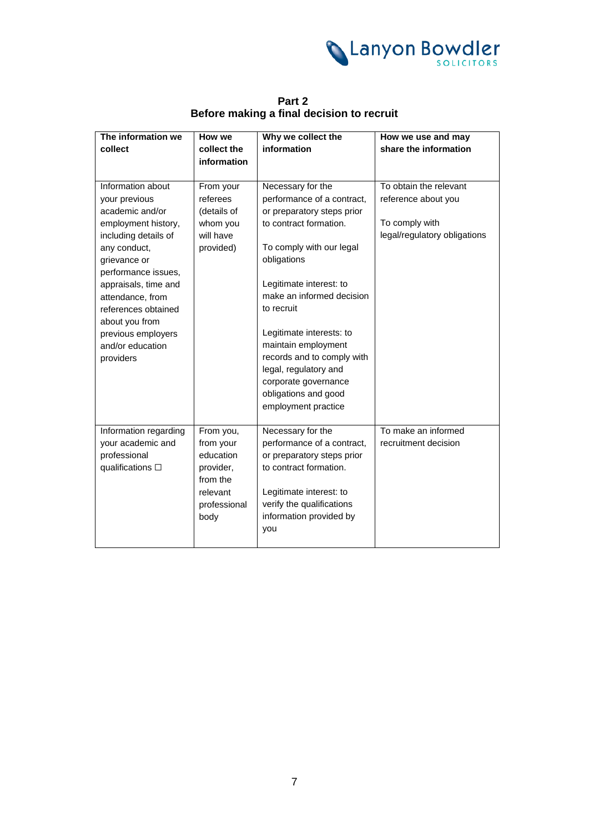<span id="page-6-0"></span>

| The information we                          | How we                 | Why we collect the                                   | How we use and may                             |
|---------------------------------------------|------------------------|------------------------------------------------------|------------------------------------------------|
| collect                                     | collect the            | information                                          | share the information                          |
|                                             | information            |                                                      |                                                |
|                                             |                        |                                                      |                                                |
| Information about                           | From your              | Necessary for the                                    | To obtain the relevant                         |
| your previous                               | referees               | performance of a contract,                           | reference about you                            |
| academic and/or                             | (details of            | or preparatory steps prior<br>to contract formation. |                                                |
| employment history,<br>including details of | whom you<br>will have  |                                                      | To comply with<br>legal/regulatory obligations |
| any conduct,                                | provided)              | To comply with our legal                             |                                                |
| grievance or                                |                        | obligations                                          |                                                |
| performance issues,                         |                        |                                                      |                                                |
| appraisals, time and                        |                        | Legitimate interest: to                              |                                                |
| attendance, from                            |                        | make an informed decision                            |                                                |
| references obtained                         |                        | to recruit                                           |                                                |
| about you from                              |                        |                                                      |                                                |
| previous employers                          |                        | Legitimate interests: to                             |                                                |
| and/or education                            |                        | maintain employment                                  |                                                |
| providers                                   |                        | records and to comply with                           |                                                |
|                                             |                        | legal, regulatory and                                |                                                |
|                                             |                        | corporate governance                                 |                                                |
|                                             |                        | obligations and good                                 |                                                |
|                                             |                        | employment practice                                  |                                                |
|                                             |                        |                                                      |                                                |
| Information regarding<br>your academic and  | From you,              | Necessary for the<br>performance of a contract,      | To make an informed                            |
| professional                                | from your<br>education | or preparatory steps prior                           | recruitment decision                           |
| qualifications $\square$                    | provider,              | to contract formation.                               |                                                |
|                                             | from the               |                                                      |                                                |
|                                             | relevant               | Legitimate interest: to                              |                                                |
|                                             | professional           | verify the qualifications                            |                                                |
|                                             | body                   | information provided by                              |                                                |
|                                             |                        | you                                                  |                                                |
|                                             |                        |                                                      |                                                |

**Part 2 Before making a final decision to recruit**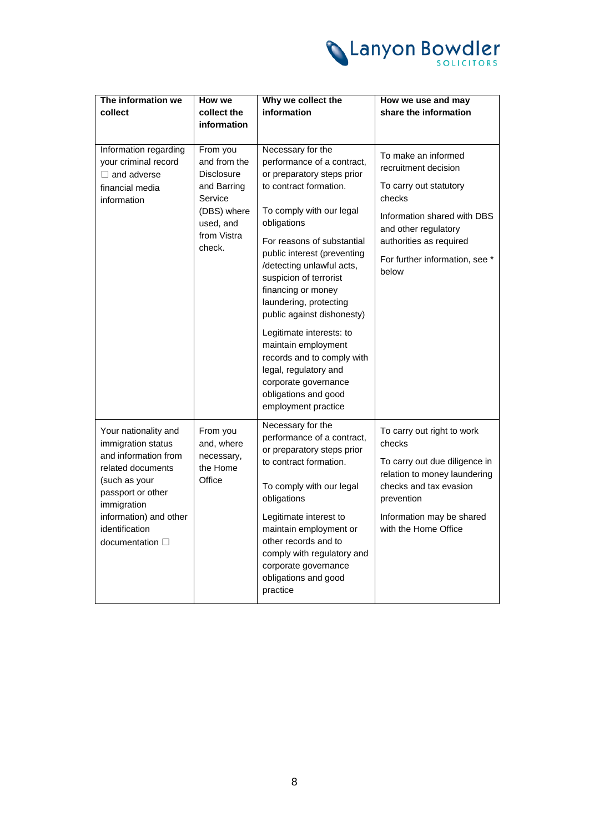

| The information we<br>collect                                                                                                                | How we<br>collect the<br>information                                                                                  | Why we collect the<br>information                                                                                                                                                                                                                                                                                                                    | How we use and may<br>share the information                                                                                                                                                                  |
|----------------------------------------------------------------------------------------------------------------------------------------------|-----------------------------------------------------------------------------------------------------------------------|------------------------------------------------------------------------------------------------------------------------------------------------------------------------------------------------------------------------------------------------------------------------------------------------------------------------------------------------------|--------------------------------------------------------------------------------------------------------------------------------------------------------------------------------------------------------------|
| Information regarding<br>your criminal record<br>$\Box$ and adverse<br>financial media<br>information                                        | From you<br>and from the<br>Disclosure<br>and Barring<br>Service<br>(DBS) where<br>used, and<br>from Vistra<br>check. | Necessary for the<br>performance of a contract,<br>or preparatory steps prior<br>to contract formation.<br>To comply with our legal<br>obligations<br>For reasons of substantial<br>public interest (preventing<br>/detecting unlawful acts,<br>suspicion of terrorist<br>financing or money<br>laundering, protecting<br>public against dishonesty) | To make an informed<br>recruitment decision<br>To carry out statutory<br>checks<br>Information shared with DBS<br>and other regulatory<br>authorities as required<br>For further information, see *<br>below |
|                                                                                                                                              |                                                                                                                       | Legitimate interests: to<br>maintain employment<br>records and to comply with<br>legal, regulatory and<br>corporate governance<br>obligations and good<br>employment practice                                                                                                                                                                        |                                                                                                                                                                                                              |
| Your nationality and<br>immigration status<br>and information from<br>related documents<br>(such as your<br>passport or other<br>immigration | From you<br>and, where<br>necessary,<br>the Home<br>Office                                                            | Necessary for the<br>performance of a contract,<br>or preparatory steps prior<br>to contract formation.<br>To comply with our legal<br>obligations                                                                                                                                                                                                   | To carry out right to work<br>checks<br>To carry out due diligence in<br>relation to money laundering<br>checks and tax evasion<br>prevention                                                                |
| information) and other<br>identification<br>documentation $\square$                                                                          |                                                                                                                       | Legitimate interest to<br>maintain employment or<br>other records and to<br>comply with regulatory and<br>corporate governance<br>obligations and good<br>practice                                                                                                                                                                                   | Information may be shared<br>with the Home Office                                                                                                                                                            |